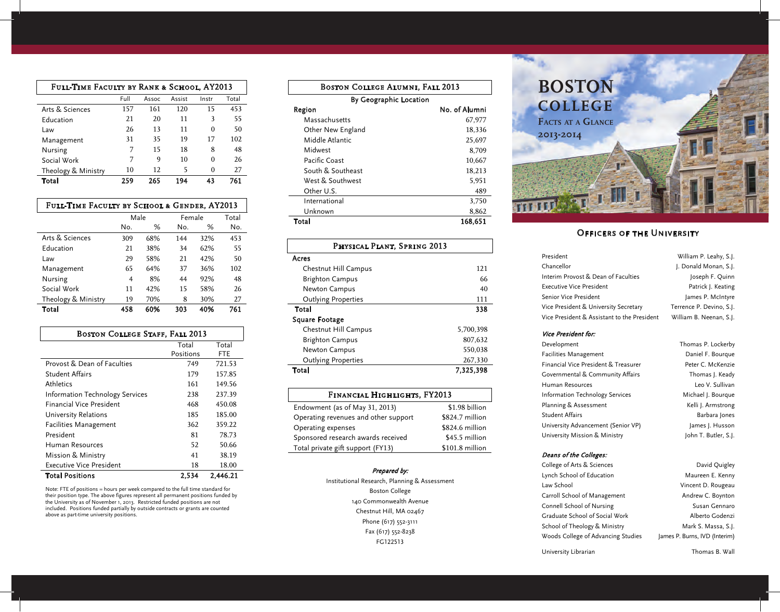| FULL-TIME FACULTY BY RANK & SCHOOL, AY2013 |      |       |        |       |       |
|--------------------------------------------|------|-------|--------|-------|-------|
|                                            | Full | Assoc | Assist | Instr | Total |
| Arts & Sciences                            | 157  | 161   | 120    | 15    | 453   |
| Education                                  | 21   | 20    | 11     | 3     | 55    |
| Law                                        | 26   | 13    | 11     | 0     | 50    |
| Management                                 | 31   | 35    | 19     | 17    | 102   |
| Nursing                                    | 7    | 15    | 18     | 8     | 48    |
| Social Work                                | 7    | 9     | 10     | 0     | 26    |
| Theology & Ministry                        | 10   | 12    | 5      | 0     | 27    |
| Total                                      | 259  | 265   | 194    | 43    | 761   |

| FULL-TIME FACULTY BY SCHOOL & GENDER, AY2013 |      |     |        |     |       |
|----------------------------------------------|------|-----|--------|-----|-------|
|                                              | Male |     | Female |     | Total |
|                                              | No.  | %   | No.    | %   | No.   |
| Arts & Sciences                              | 309  | 68% | 144    | 32% | 453   |
| <b>Education</b>                             | 21   | 38% | 34     | 62% | 55    |
| Law                                          | 29   | 58% | 21     | 42% | 50    |
| Management                                   | 65   | 64% | 37     | 36% | 102   |
| Nursing                                      | 4    | 8%  | 44     | 92% | 48    |
| Social Work                                  | 11   | 42% | 15     | 58% | 26    |
| Theology & Ministry                          | 19   | 70% | 8      | 30% | 27    |
| Total                                        | 458  | 60% | 303    | 40% | 761   |

| <b>BOSTON COLLEGE STAFF, FALL 2013</b>      |           |        |  |  |  |
|---------------------------------------------|-----------|--------|--|--|--|
|                                             | Total     | Total  |  |  |  |
|                                             | Positions | FTE    |  |  |  |
| Provost & Dean of Faculties                 | 749       | 721.53 |  |  |  |
| <b>Student Affairs</b>                      | 179       | 157.85 |  |  |  |
| Athletics                                   | 161       | 149.56 |  |  |  |
| <b>Information Technology Services</b>      | 238       | 237.39 |  |  |  |
| <b>Financial Vice President</b>             | 468       | 450.08 |  |  |  |
| University Relations                        | 185       | 185.00 |  |  |  |
| <b>Facilities Management</b>                | 362       | 359.22 |  |  |  |
| President                                   | 81        | 78.73  |  |  |  |
| Human Resources                             | 52        | 50.66  |  |  |  |
| Mission & Ministry                          | 41        | 38.19  |  |  |  |
| Executive Vice President                    | 18        | 18.00  |  |  |  |
| <b>Total Positions</b><br>2.534<br>2.446.21 |           |        |  |  |  |

Note: FTE of positions = hours per week compared to the full time standard for their position type. The above figures represent all permanent positions funded by the University as of November 1, 2013. Restricted funded positions are not included. Positions funded partially by outside contracts or grants are counted above as part-time university positions.

| <b>BOSTON COLLEGE ALUMNI, FALL 2013</b> |               |  |  |  |
|-----------------------------------------|---------------|--|--|--|
| By Geographic Location                  |               |  |  |  |
| Region                                  | No. of Alumni |  |  |  |
| Massachusetts                           | 67,977        |  |  |  |
| Other New England                       | 18,336        |  |  |  |
| Middle Atlantic                         | 25,697        |  |  |  |
| Midwest                                 | 8,709         |  |  |  |
| Pacific Coast                           | 10,667        |  |  |  |
| South & Southeast                       | 18,213        |  |  |  |
| West & Southwest                        | 5,951         |  |  |  |
| Other U.S.                              | 489           |  |  |  |
| International                           | 3,750         |  |  |  |
| Unknown                                 | 8,862         |  |  |  |
| Total<br>168,651                        |               |  |  |  |

# Physical Plant, Spring 2013 Acres Chestnut Hill Campus 121 Brighton Campus 66 Newton Campus 40 Outlying Properties 111 Total 338 Square Footage Chestnut Hill Campus 5,700,398 Brighton Campus 807,632 Newton Campus 550,038 Outlying Properties 267,330 Total 7,325,398

| FINANCIAL HIGHLIGHTS, FY2013         |                 |  |  |  |
|--------------------------------------|-----------------|--|--|--|
| Endowment (as of May 31, 2013)       | \$1.98 billion  |  |  |  |
| Operating revenues and other support | \$824.7 million |  |  |  |
| Operating expenses                   | \$824.6 million |  |  |  |
| Sponsored research awards received   | \$45.5 million  |  |  |  |
| Total private gift support (FY13)    | \$101.8 million |  |  |  |

#### Prepared by:

Institutional Research, Planning & Assessment Boston College 140 Commonwealth Avenue Chestnut Hill, MA 02467 Phone (617) 552-3111 Fax (617) 552-8238 FG122513



# Officers of the University

| President                                   | William P. Leahy, S.J.   |
|---------------------------------------------|--------------------------|
| Chancellor                                  | J. Donald Monan, S.J.    |
| Interim Provost & Dean of Faculties         | Joseph F. Quinn          |
| Executive Vice President                    | Patrick J. Keating       |
| Senior Vice President                       | James P. McIntyre        |
| Vice President & University Secretary       | Terrence P. Devino, S.J. |
| Vice President & Assistant to the President | William B. Neenan, S.J.  |

### Vice President for:

| Development                          | Thomas P. Lockerby   |
|--------------------------------------|----------------------|
| <b>Facilities Management</b>         | Daniel F. Bourgue    |
| Financial Vice President & Treasurer | Peter C. McKenzie    |
| Governmental & Community Affairs     | Thomas J. Keady      |
| Human Resources                      | Leo V. Sullivan      |
| Information Technology Services      | Michael J. Bourque   |
| Planning & Assessment                | Kelli J. Armstrong   |
| <b>Student Affairs</b>               | Barbara Jones        |
| University Advancement (Senior VP)   | James J. Husson      |
| University Mission & Ministry        | John T. Butler, S.J. |

#### Deans of the Colleges:

College of Arts & Sciences David Quigley Lynch School of Education Maureen E. Kenny Law School **Vincent D. Rougeau** Carroll School of Management Andrew C. Boynton Connell School of Nursing Susan Gennaro Graduate School of Social Work Manuel Alberto Godenzi School of Theology & Ministry Mark S. Massa, S.J. Woods College of Advancing Studies James P. Burns, IVD (Interim)

University Librarian Thomas B. Wall